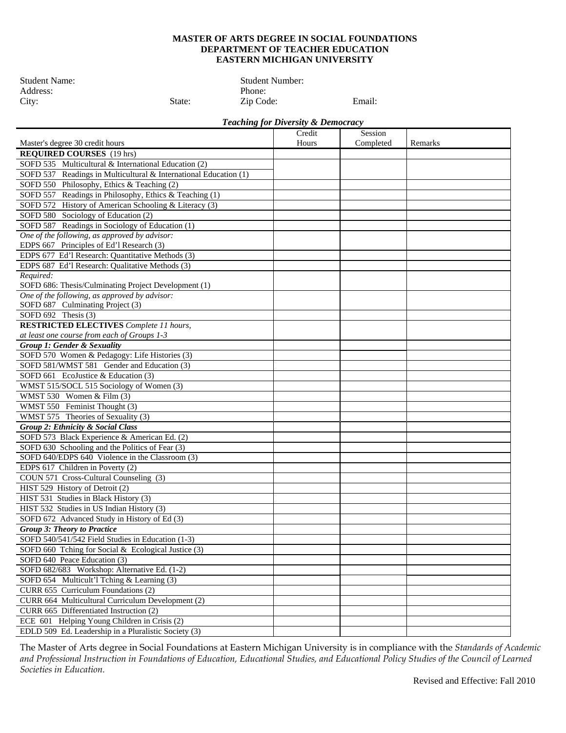## **MASTER OF ARTS DEGREE IN SOCIAL FOUNDATIONS DEPARTMENT OF TEACHER EDUCATION EASTERN MICHIGAN UNIVERSITY**

Address:<br>City: State:

Student Name: Student Number: Address: Phone: Phone: Phone: Phone: Phone: Phone: Phone: Phone: Phone: Phone: Phone: Phone: Phone: Phone: Phone: Phone: Phone: Phone: Phone: Phone: Phone: Phone: Phone: Phone: Phone: Phone: P Zip Code: Email:

## *Teaching for Diversity & Democracy*

|                                                                  | Credit | Session   |         |
|------------------------------------------------------------------|--------|-----------|---------|
| Master's degree 30 credit hours                                  | Hours  | Completed | Remarks |
| <b>REQUIRED COURSES</b> (19 hrs)                                 |        |           |         |
| SOFD 535 Multicultural & International Education (2)             |        |           |         |
| SOFD 537 Readings in Multicultural & International Education (1) |        |           |         |
| SOFD 550 Philosophy, Ethics & Teaching (2)                       |        |           |         |
| SOFD 557 Readings in Philosophy, Ethics & Teaching (1)           |        |           |         |
| SOFD 572 History of American Schooling & Literacy (3)            |        |           |         |
| SOFD 580 Sociology of Education (2)                              |        |           |         |
| SOFD 587 Readings in Sociology of Education (1)                  |        |           |         |
| One of the following, as approved by advisor:                    |        |           |         |
| EDPS 667 Principles of Ed'l Research (3)                         |        |           |         |
| EDPS 677 Ed'l Research: Quantitative Methods (3)                 |        |           |         |
| EDPS 687 Ed'l Research: Qualitative Methods (3)                  |        |           |         |
| Required:                                                        |        |           |         |
| SOFD 686: Thesis/Culminating Project Development (1)             |        |           |         |
| One of the following, as approved by advisor:                    |        |           |         |
| SOFD 687 Culminating Project (3)                                 |        |           |         |
| SOFD $692$ Thesis $(3)$                                          |        |           |         |
| <b>RESTRICTED ELECTIVES</b> Complete 11 hours,                   |        |           |         |
| at least one course from each of Groups 1-3                      |        |           |         |
| Group 1: Gender & Sexuality                                      |        |           |         |
| SOFD 570 Women & Pedagogy: Life Histories (3)                    |        |           |         |
| SOFD 581/WMST 581 Gender and Education (3)                       |        |           |         |
| SOFD 661 EcoJustice & Education (3)                              |        |           |         |
| WMST 515/SOCL 515 Sociology of Women (3)                         |        |           |         |
| WMST 530 Women & Film (3)                                        |        |           |         |
| WMST 550 Feminist Thought (3)                                    |        |           |         |
| WMST 575 Theories of Sexuality (3)                               |        |           |         |
| Group 2: Ethnicity & Social Class                                |        |           |         |
| SOFD 573 Black Experience & American Ed. (2)                     |        |           |         |
| SOFD 630 Schooling and the Politics of Fear (3)                  |        |           |         |
| SOFD 640/EDPS 640 Violence in the Classroom (3)                  |        |           |         |
| EDPS 617 Children in Poverty (2)                                 |        |           |         |
| COUN 571 Cross-Cultural Counseling (3)                           |        |           |         |
| HIST 529 History of Detroit (2)                                  |        |           |         |
| HIST 531 Studies in Black History (3)                            |        |           |         |
| HIST 532 Studies in US Indian History (3)                        |        |           |         |
| SOFD 672 Advanced Study in History of Ed (3)                     |        |           |         |
| <b>Group 3: Theory to Practice</b>                               |        |           |         |
| SOFD 540/541/542 Field Studies in Education (1-3)                |        |           |         |
| SOFD 660 Tching for Social & Ecological Justice (3)              |        |           |         |
| SOFD 640 Peace Education (3)                                     |        |           |         |
| SOFD 682/683 Workshop: Alternative Ed. (1-2)                     |        |           |         |
| SOFD 654 Multicult'l Tching & Learning (3)                       |        |           |         |
| CURR 655 Curriculum Foundations (2)                              |        |           |         |
| CURR 664 Multicultural Curriculum Development (2)                |        |           |         |
| CURR 665 Differentiated Instruction (2)                          |        |           |         |
| ECE 601 Helping Young Children in Crisis (2)                     |        |           |         |
| EDLD 509 Ed. Leadership in a Pluralistic Society (3)             |        |           |         |

The Master of Arts degree in Social Foundations at Eastern Michigan University is in compliance with the *Standards of Academic and Professional Instruction in Foundations of Education, Educational Studies, and Educational Policy Studies of the Council of Learned Societies in Education.*